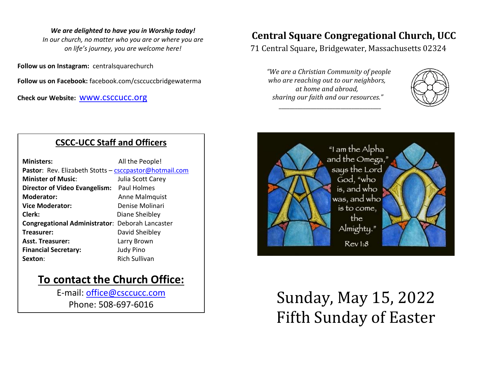#### *We are delighted to have you in Worship today!*

*In our church, no matter who you are or where you are on life's journey, you are welcome here!*

**Follow us on Instagram:** centralsquarechurch

**Follow us on Facebook:** facebook.com/csccuccbridgewaterma

**Check our Website:** [www.csccucc.org](about:blank)

## **CSCC-UCC Staff and Officers**

| <b>Ministers:</b>                                      | All the People!      |  |
|--------------------------------------------------------|----------------------|--|
| Pastor: Rev. Elizabeth Stotts - csccpastor@hotmail.com |                      |  |
| <b>Minister of Music:</b>                              | Julia Scott Carey    |  |
| Director of Video Evangelism: Paul Holmes              |                      |  |
| <b>Moderator:</b>                                      | Anne Malmquist       |  |
| <b>Vice Moderator:</b>                                 | Denise Molinari      |  |
| Clerk:                                                 | Diane Sheibley       |  |
| <b>Congregational Administrator: Deborah Lancaster</b> |                      |  |
| Treasurer:                                             | David Sheibley       |  |
| <b>Asst. Treasurer:</b>                                | Larry Brown          |  |
| <b>Financial Secretary:</b>                            | <b>Judy Pino</b>     |  |
| Sexton:                                                | <b>Rich Sullivan</b> |  |

# **To contact the Church Office:**

E-mail: [office@csccucc.com](mailto:office@csccucc.com) Phone: 508-697-6016

# **Central Square Congregational Church, UCC**

71 Central Square, Bridgewater, Massachusetts 02324

*"We are a Christian Community of people who are reaching out to our neighbors, at home and abroad, sharing our faith and our resources."*

*\_\_\_\_\_\_\_\_\_\_\_\_\_\_\_\_\_\_\_\_\_\_\_\_\_\_\_\_\_\_\_\_\_\_\_\_\_\_*





# Sunday, May 15, 2022 Fifth Sunday of Easter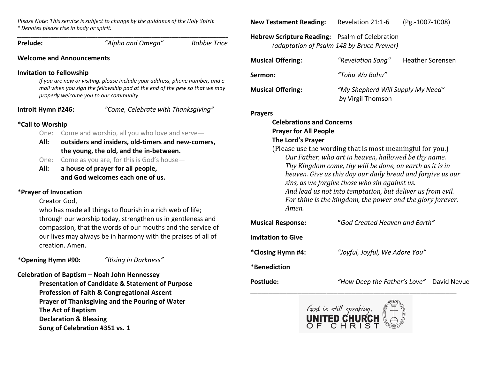*Please Note: This service is subject to change by the guidance of the Holy Spirit \* Denotes please rise in body or spirit.*

*\_\_\_\_\_\_\_\_\_\_\_\_\_\_\_\_\_\_\_\_\_\_\_\_\_\_\_\_\_\_\_\_\_\_\_\_\_\_\_\_\_\_\_\_\_\_\_\_\_\_\_\_\_\_\_\_\_\_\_\_\_\_\_\_\_\_\_\_\_\_\_\_\_\_\_\_\_\_\_\_\_\_\_\_\_\_\_\_\_\_\_\_\_\_* **Prelude:** *"Alpha and Omega" Robbie Trice* **Welcome and Announcements Invitation to Fellowship**

*If you are new or visiting, please include your address, phone number, and email when you sign the fellowship pad at the end of the pew so that we may properly welcome you to our community.*

**Introit Hymn #246:** *"Come, Celebrate with Thanksgiving"*

### **\*Call to Worship**

- One: Come and worship, all you who love and serve—
- **All: outsiders and insiders, old-timers and new-comers, the young, the old, and the in-between.**
- One: Come as you are, for this is God's house—
- **All: a house of prayer for all people, and God welcomes each one of us.**

## **\*Prayer of Invocation**

Creator God,

who has made all things to flourish in a rich web of life; through our worship today, strengthen us in gentleness and compassion, that the words of our mouths and the service of our lives may always be in harmony with the praises of all of creation. Amen.

**\*Opening Hymn #90:** *"Rising in Darkness"*

**Celebration of Baptism – Noah John Hennessey Presentation of Candidate & Statement of Purpose Profession of Faith & Congregational Ascent Prayer of Thanksgiving and the Pouring of Water The Act of Baptism Declaration & Blessing Song of Celebration #351 vs. 1**

**New Testament Reading:** Revelation 21:1-6 (Pg.-1007-1008)

**Hebrew Scripture Reading:** Psalm of Celebration *(adaptation of Psalm 148 by Bruce Prewer)*

| <b>Musical Offering:</b> | "Revelation Song"                                      | <b>Heather Sorensen</b> |
|--------------------------|--------------------------------------------------------|-------------------------|
| Sermon:                  | "Tohu Wa Bohu"                                         |                         |
| <b>Musical Offering:</b> | "My Shepherd Will Supply My Need"<br>by Virgil Thomson |                         |

#### **Prayers**

## **Celebrations and Concerns Prayer for All People The Lord's Prayer**

- (Please use the wording that is most meaningful for you.) *Our Father, who art in heaven, hallowed be thy name. Thy Kingdom come, thy will be done, on earth as it is in heaven. Give us this day our daily bread and forgive us our sins, as we forgive those who sin against us. And lead us not into temptation, but deliver us from evil. For thine is the kingdom, the power and the glory forever. Amen.*
- **Musical Response: "***God Created Heaven and Earth"* **Invitation to Give**
- **\*Closing Hymn #4:** *"Joyful, Joyful, We Adore You"*

**\*Benediction**

**Postlude:** *"How Deep the Father's Love"* David Nevue



\_\_\_\_\_\_\_\_\_\_\_\_\_\_\_\_\_\_\_\_\_\_\_\_\_\_\_\_\_\_\_\_\_\_\_\_\_\_\_\_\_\_\_\_\_\_\_\_\_\_\_\_\_\_\_\_\_